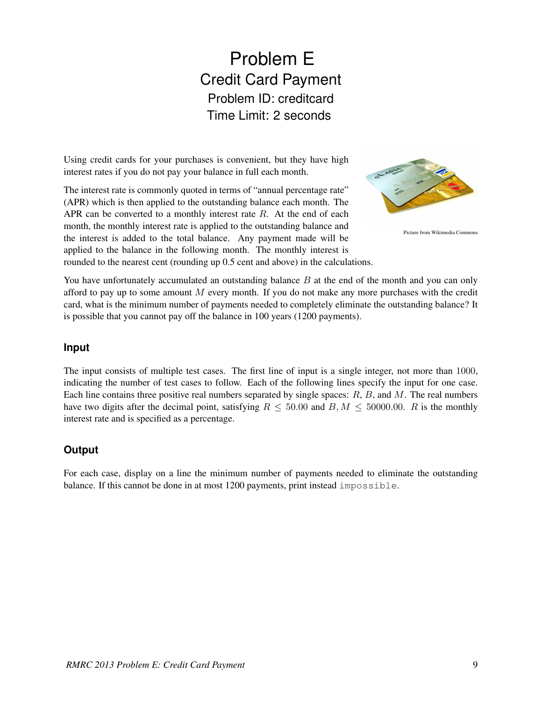## Problem E Credit Card Payment Problem ID: creditcard Time Limit: 2 seconds

Using credit cards for your purchases is convenient, but they have high interest rates if you do not pay your balance in full each month.

The interest rate is commonly quoted in terms of "annual percentage rate" (APR) which is then applied to the outstanding balance each month. The APR can be converted to a monthly interest rate  $R$ . At the end of each month, the monthly interest rate is applied to the outstanding balance and the interest is added to the total balance. Any payment made will be applied to the balance in the following month. The monthly interest is rounded to the nearest cent (rounding up 0.5 cent and above) in the calculations.



Picture from Wikimedia Commons

You have unfortunately accumulated an outstanding balance B at the end of the month and you can only afford to pay up to some amount  $M$  every month. If you do not make any more purchases with the credit card, what is the minimum number of payments needed to completely eliminate the outstanding balance? It is possible that you cannot pay off the balance in 100 years (1200 payments).

## **Input**

The input consists of multiple test cases. The first line of input is a single integer, not more than 1000, indicating the number of test cases to follow. Each of the following lines specify the input for one case. Each line contains three positive real numbers separated by single spaces:  $R$ ,  $B$ , and  $M$ . The real numbers have two digits after the decimal point, satisfying  $R \le 50.00$  and  $B, M \le 50000.00$ . R is the monthly interest rate and is specified as a percentage.

## **Output**

For each case, display on a line the minimum number of payments needed to eliminate the outstanding balance. If this cannot be done in at most 1200 payments, print instead impossible.